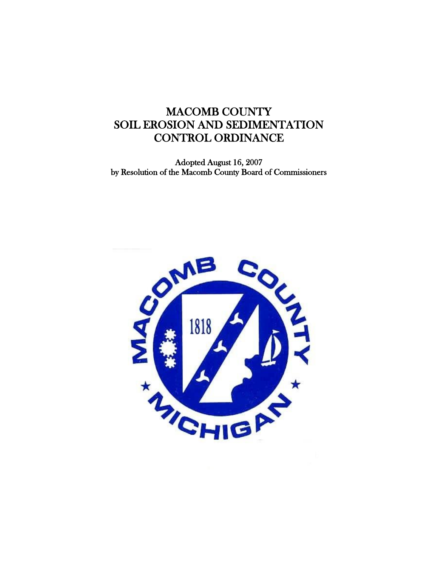# MACOMB COUNTY SOIL EROSION AND SEDIMENTATION CONTROL ORDINANCE

Adopted August 16, 2007 by Resolution of the Macomb County Board of Commissioners

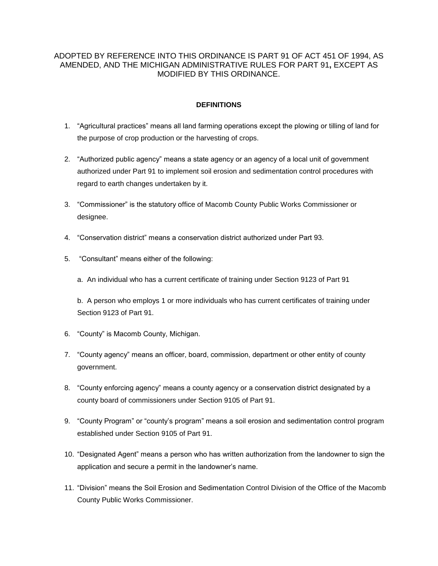# ADOPTED BY REFERENCE INTO THIS ORDINANCE IS PART 91 OF ACT 451 OF 1994, AS AMENDED, AND THE MICHIGAN ADMINISTRATIVE RULES FOR PART 91**,** EXCEPT AS MODIFIED BY THIS ORDINANCE.

## **DEFINITIONS**

- 1. "Agricultural practices" means all land farming operations except the plowing or tilling of land for the purpose of crop production or the harvesting of crops.
- 2. "Authorized public agency" means a state agency or an agency of a local unit of government authorized under Part 91 to implement soil erosion and sedimentation control procedures with regard to earth changes undertaken by it.
- 3. "Commissioner" is the statutory office of Macomb County Public Works Commissioner or designee.
- 4. "Conservation district" means a conservation district authorized under Part 93.
- 5. "Consultant" means either of the following:
	- a. An individual who has a current certificate of training under Section 9123 of Part 91

b. A person who employs 1 or more individuals who has current certificates of training under Section 9123 of Part 91.

- 6. "County" is Macomb County, Michigan.
- 7. "County agency" means an officer, board, commission, department or other entity of county government.
- 8. "County enforcing agency" means a county agency or a conservation district designated by a county board of commissioners under Section 9105 of Part 91.
- 9. "County Program" or "county's program" means a soil erosion and sedimentation control program established under Section 9105 of Part 91.
- 10. "Designated Agent" means a person who has written authorization from the landowner to sign the application and secure a permit in the landowner's name.
- 11. "Division" means the Soil Erosion and Sedimentation Control Division of the Office of the Macomb County Public Works Commissioner.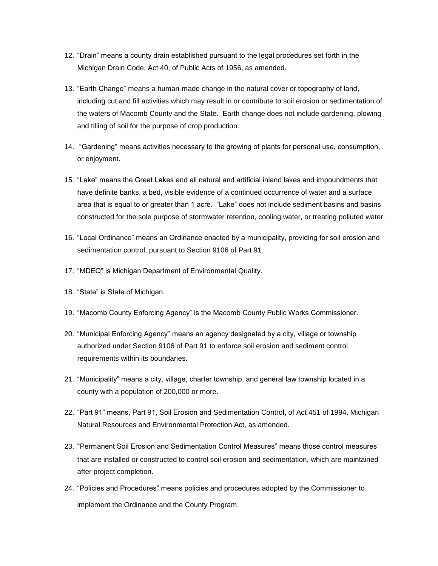- 12. "Drain" means a county drain established pursuant to the legal procedures set forth in the Michigan Drain Code, Act 40, of Public Acts of 1956, as amended.
- 13. "Earth Change" means a human-made change in the natural cover or topography of land, including cut and fill activities which may result in or contribute to soil erosion or sedimentation of the waters of Macomb County and the State. Earth change does not include gardening, plowing and tilling of soil for the purpose of crop production.
- 14. "Gardening" means activities necessary to the growing of plants for personal use, consumption, or enjoyment.
- 15. "Lake" means the Great Lakes and all natural and artificial inland lakes and impoundments that have definite banks, a bed, visible evidence of a continued occurrence of water and a surface area that is equal to or greater than 1 acre. "Lake" does not include sediment basins and basins constructed for the sole purpose of stormwater retention, cooling water, or treating polluted water.
- 16. "Local Ordinance" means an Ordinance enacted by a municipality, providing for soil erosion and sedimentation control, pursuant to Section 9106 of Part 91.
- 17. "MDEQ" is Michigan Department of Environmental Quality.
- 18. "State" is State of Michigan.
- 19. "Macomb County Enforcing Agency" is the Macomb County Public Works Commissioner.
- 20. "Municipal Enforcing Agency" means an agency designated by a city, village or township authorized under Section 9106 of Part 91 to enforce soil erosion and sediment control requirements within its boundaries.
- 21. "Municipality" means a city, village, charter township, and general law township located in a county with a population of 200,000 or more.
- 22. "Part 91" means, Part 91, Soil Erosion and Sedimentation Control**,** of Act 451 of 1994, Michigan Natural Resources and Environmental Protection Act, as amended.
- 23. "Permanent Soil Erosion and Sedimentation Control Measures" means those control measures that are installed or constructed to control soil erosion and sedimentation, which are maintained after project completion.
- 24. "Policies and Procedures" means policies and procedures adopted by the Commissioner to implement the Ordinance and the County Program.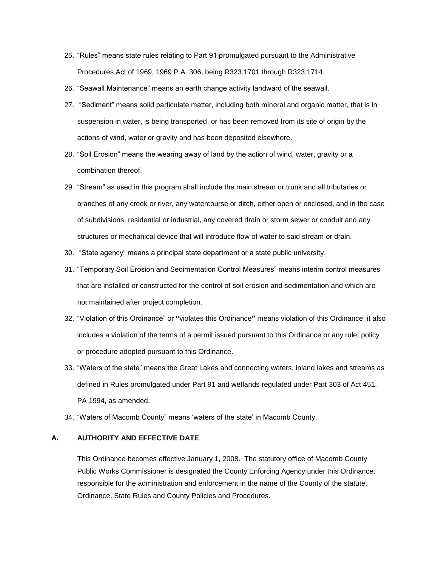- 25. "Rules" means state rules relating to Part 91 promulgated pursuant to the Administrative Procedures Act of 1969, 1969 P.A. 306, being R323.1701 through R323.1714.
- 26. "Seawall Maintenance" means an earth change activity landward of the seawall.
- 27. "Sediment" means solid particulate matter, including both mineral and organic matter, that is in suspension in water, is being transported, or has been removed from its site of origin by the actions of wind, water or gravity and has been deposited elsewhere.
- 28. "Soil Erosion" means the wearing away of land by the action of wind, water, gravity or a combination thereof.
- 29. "Stream" as used in this program shall include the main stream or trunk and all tributaries or branches of any creek or river, any watercourse or ditch, either open or enclosed, and in the case of subdivisions, residential or industrial, any covered drain or storm sewer or conduit and any structures or mechanical device that will introduce flow of water to said stream or drain.
- 30. "State agency" means a principal state department or a state public university.
- 31. "Temporary Soil Erosion and Sedimentation Control Measures" means interim control measures that are installed or constructed for the control of soil erosion and sedimentation and which are not maintained after project completion.
- 32. "Violation of this Ordinance" or **"**violates this Ordinance**"** means violation of this Ordinance; it also includes a violation of the terms of a permit issued pursuant to this Ordinance or any rule, policy or procedure adopted pursuant to this Ordinance.
- 33. "Waters of the state" means the Great Lakes and connecting waters, inland lakes and streams as defined in Rules promulgated under Part 91 and wetlands regulated under Part 303 of Act 451, PA 1994, as amended.
- 34. "Waters of Macomb County" means 'waters of the state' in Macomb County.

#### **A. AUTHORITY AND EFFECTIVE DATE**

This Ordinance becomes effective January 1, 2008. The statutory office of Macomb County Public Works Commissioner is designated the County Enforcing Agency under this Ordinance, responsible for the administration and enforcement in the name of the County of the statute, Ordinance, State Rules and County Policies and Procedures.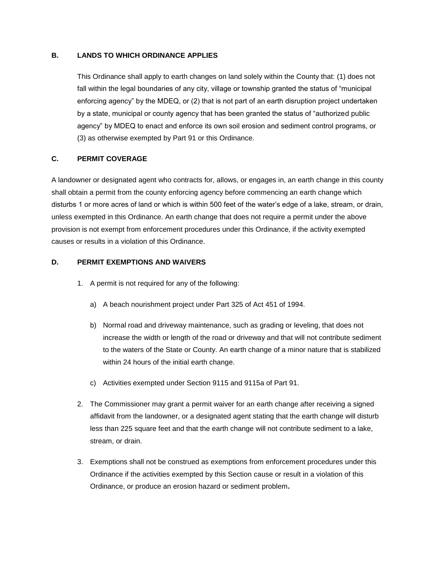## **B. LANDS TO WHICH ORDINANCE APPLIES**

This Ordinance shall apply to earth changes on land solely within the County that: (1) does not fall within the legal boundaries of any city, village or township granted the status of "municipal enforcing agency" by the MDEQ, or (2) that is not part of an earth disruption project undertaken by a state, municipal or county agency that has been granted the status of "authorized public agency" by MDEQ to enact and enforce its own soil erosion and sediment control programs, or (3) as otherwise exempted by Part 91 or this Ordinance.

# **C. PERMIT COVERAGE**

A landowner or designated agent who contracts for, allows, or engages in, an earth change in this county shall obtain a permit from the county enforcing agency before commencing an earth change which disturbs 1 or more acres of land or which is within 500 feet of the water's edge of a lake, stream, or drain, unless exempted in this Ordinance. An earth change that does not require a permit under the above provision is not exempt from enforcement procedures under this Ordinance, if the activity exempted causes or results in a violation of this Ordinance.

#### **D. PERMIT EXEMPTIONS AND WAIVERS**

- 1. A permit is not required for any of the following:
	- a) A beach nourishment project under Part 325 of Act 451 of 1994.
	- b) Normal road and driveway maintenance, such as grading or leveling, that does not increase the width or length of the road or driveway and that will not contribute sediment to the waters of the State or County. An earth change of a minor nature that is stabilized within 24 hours of the initial earth change.
	- c) Activities exempted under Section 9115 and 9115a of Part 91.
- 2. The Commissioner may grant a permit waiver for an earth change after receiving a signed affidavit from the landowner, or a designated agent stating that the earth change will disturb less than 225 square feet and that the earth change will not contribute sediment to a lake, stream, or drain.
- 3. Exemptions shall not be construed as exemptions from enforcement procedures under this Ordinance if the activities exempted by this Section cause or result in a violation of this Ordinance, or produce an erosion hazard or sediment problem**.**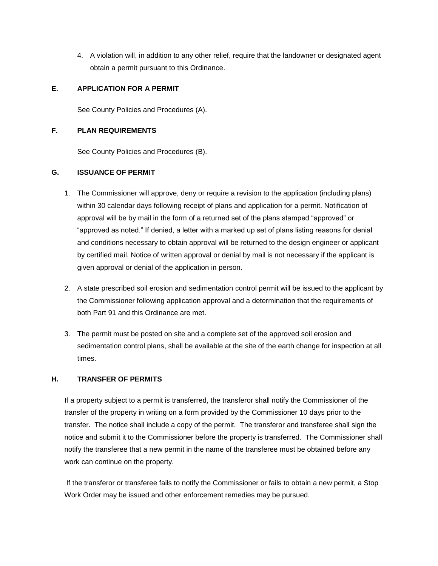4. A violation will, in addition to any other relief, require that the landowner or designated agent obtain a permit pursuant to this Ordinance.

## **E. APPLICATION FOR A PERMIT**

See County Policies and Procedures (A).

## **F. PLAN REQUIREMENTS**

See County Policies and Procedures (B).

### **G. ISSUANCE OF PERMIT**

- 1. The Commissioner will approve, deny or require a revision to the application (including plans) within 30 calendar days following receipt of plans and application for a permit. Notification of approval will be by mail in the form of a returned set of the plans stamped "approved" or "approved as noted." If denied, a letter with a marked up set of plans listing reasons for denial and conditions necessary to obtain approval will be returned to the design engineer or applicant by certified mail. Notice of written approval or denial by mail is not necessary if the applicant is given approval or denial of the application in person.
- 2. A state prescribed soil erosion and sedimentation control permit will be issued to the applicant by the Commissioner following application approval and a determination that the requirements of both Part 91 and this Ordinance are met.
- 3. The permit must be posted on site and a complete set of the approved soil erosion and sedimentation control plans, shall be available at the site of the earth change for inspection at all times.

## **H. TRANSFER OF PERMITS**

If a property subject to a permit is transferred, the transferor shall notify the Commissioner of the transfer of the property in writing on a form provided by the Commissioner 10 days prior to the transfer. The notice shall include a copy of the permit. The transferor and transferee shall sign the notice and submit it to the Commissioner before the property is transferred. The Commissioner shall notify the transferee that a new permit in the name of the transferee must be obtained before any work can continue on the property.

If the transferor or transferee fails to notify the Commissioner or fails to obtain a new permit, a Stop Work Order may be issued and other enforcement remedies may be pursued.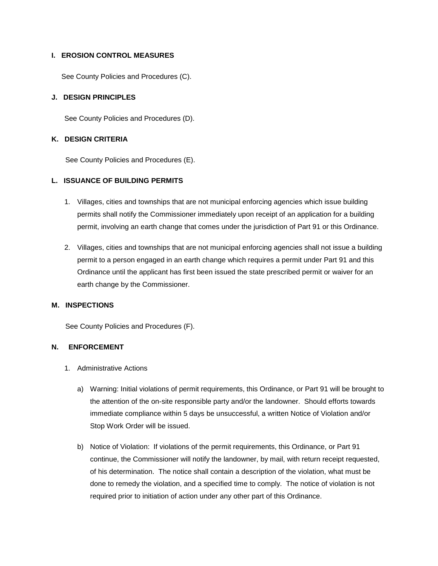### **I. EROSION CONTROL MEASURES**

See County Policies and Procedures (C).

### **J. DESIGN PRINCIPLES**

See County Policies and Procedures (D).

### **K. DESIGN CRITERIA**

See County Policies and Procedures (E).

## **L. ISSUANCE OF BUILDING PERMITS**

- 1. Villages, cities and townships that are not municipal enforcing agencies which issue building permits shall notify the Commissioner immediately upon receipt of an application for a building permit, involving an earth change that comes under the jurisdiction of Part 91 or this Ordinance.
- 2. Villages, cities and townships that are not municipal enforcing agencies shall not issue a building permit to a person engaged in an earth change which requires a permit under Part 91 and this Ordinance until the applicant has first been issued the state prescribed permit or waiver for an earth change by the Commissioner.

#### **M. INSPECTIONS**

See County Policies and Procedures (F).

#### **N. ENFORCEMENT**

- 1. Administrative Actions
	- a) Warning: Initial violations of permit requirements, this Ordinance, or Part 91 will be brought to the attention of the on-site responsible party and/or the landowner. Should efforts towards immediate compliance within 5 days be unsuccessful, a written Notice of Violation and/or Stop Work Order will be issued.
	- b) Notice of Violation: If violations of the permit requirements, this Ordinance, or Part 91 continue, the Commissioner will notify the landowner, by mail, with return receipt requested, of his determination. The notice shall contain a description of the violation, what must be done to remedy the violation, and a specified time to comply. The notice of violation is not required prior to initiation of action under any other part of this Ordinance.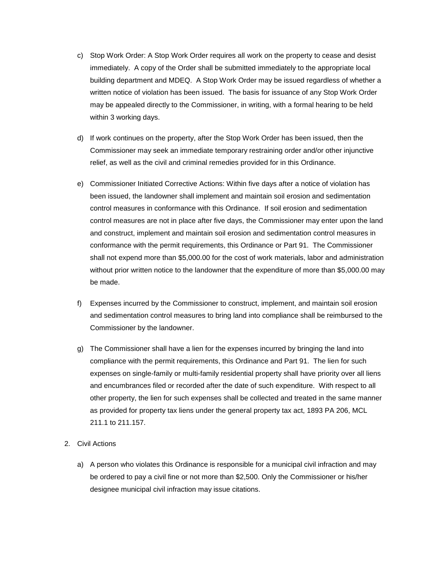- c) Stop Work Order: A Stop Work Order requires all work on the property to cease and desist immediately. A copy of the Order shall be submitted immediately to the appropriate local building department and MDEQ. A Stop Work Order may be issued regardless of whether a written notice of violation has been issued. The basis for issuance of any Stop Work Order may be appealed directly to the Commissioner, in writing, with a formal hearing to be held within 3 working days.
- d) If work continues on the property, after the Stop Work Order has been issued, then the Commissioner may seek an immediate temporary restraining order and/or other injunctive relief, as well as the civil and criminal remedies provided for in this Ordinance.
- e) Commissioner Initiated Corrective Actions: Within five days after a notice of violation has been issued, the landowner shall implement and maintain soil erosion and sedimentation control measures in conformance with this Ordinance. If soil erosion and sedimentation control measures are not in place after five days, the Commissioner may enter upon the land and construct, implement and maintain soil erosion and sedimentation control measures in conformance with the permit requirements, this Ordinance or Part 91. The Commissioner shall not expend more than \$5,000.00 for the cost of work materials, labor and administration without prior written notice to the landowner that the expenditure of more than \$5,000.00 may be made.
- f) Expenses incurred by the Commissioner to construct, implement, and maintain soil erosion and sedimentation control measures to bring land into compliance shall be reimbursed to the Commissioner by the landowner.
- g) The Commissioner shall have a lien for the expenses incurred by bringing the land into compliance with the permit requirements, this Ordinance and Part 91. The lien for such expenses on single-family or multi-family residential property shall have priority over all liens and encumbrances filed or recorded after the date of such expenditure. With respect to all other property, the lien for such expenses shall be collected and treated in the same manner as provided for property tax liens under the general property tax act, 1893 PA 206, MCL 211.1 to 211.157.
- 2. Civil Actions
	- a) A person who violates this Ordinance is responsible for a municipal civil infraction and may be ordered to pay a civil fine or not more than \$2,500. Only the Commissioner or his/her designee municipal civil infraction may issue citations.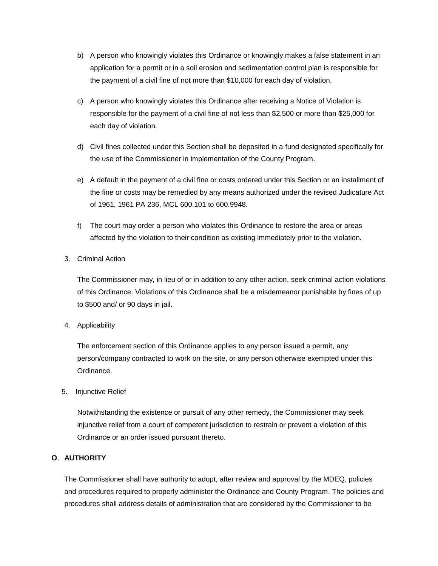- b) A person who knowingly violates this Ordinance or knowingly makes a false statement in an application for a permit or in a soil erosion and sedimentation control plan is responsible for the payment of a civil fine of not more than \$10,000 for each day of violation.
- c) A person who knowingly violates this Ordinance after receiving a Notice of Violation is responsible for the payment of a civil fine of not less than \$2,500 or more than \$25,000 for each day of violation.
- d) Civil fines collected under this Section shall be deposited in a fund designated specifically for the use of the Commissioner in implementation of the County Program.
- e) A default in the payment of a civil fine or costs ordered under this Section or an installment of the fine or costs may be remedied by any means authorized under the revised Judicature Act of 1961, 1961 PA 236, MCL 600.101 to 600.9948.
- f) The court may order a person who violates this Ordinance to restore the area or areas affected by the violation to their condition as existing immediately prior to the violation.
- 3. Criminal Action

The Commissioner may, in lieu of or in addition to any other action, seek criminal action violations of this Ordinance. Violations of this Ordinance shall be a misdemeanor punishable by fines of up to \$500 and/ or 90 days in jail.

4. Applicability

The enforcement section of this Ordinance applies to any person issued a permit, any person/company contracted to work on the site, or any person otherwise exempted under this Ordinance.

5. Injunctive Relief

Notwithstanding the existence or pursuit of any other remedy, the Commissioner may seek injunctive relief from a court of competent jurisdiction to restrain or prevent a violation of this Ordinance or an order issued pursuant thereto.

## **O. AUTHORITY**

The Commissioner shall have authority to adopt, after review and approval by the MDEQ, policies and procedures required to properly administer the Ordinance and County Program. The policies and procedures shall address details of administration that are considered by the Commissioner to be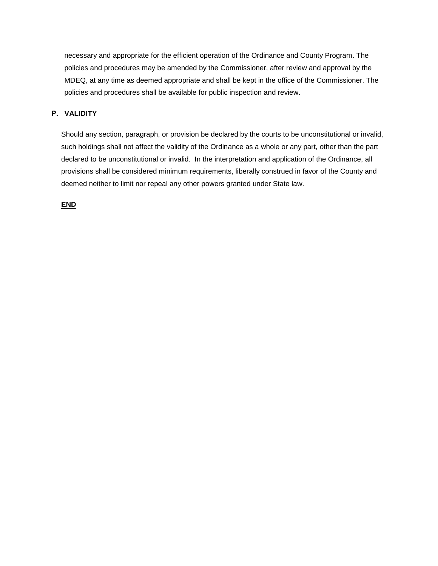necessary and appropriate for the efficient operation of the Ordinance and County Program. The policies and procedures may be amended by the Commissioner, after review and approval by the MDEQ, at any time as deemed appropriate and shall be kept in the office of the Commissioner. The policies and procedures shall be available for public inspection and review.

## **P. VALIDITY**

Should any section, paragraph, or provision be declared by the courts to be unconstitutional or invalid, such holdings shall not affect the validity of the Ordinance as a whole or any part, other than the part declared to be unconstitutional or invalid. In the interpretation and application of the Ordinance, all provisions shall be considered minimum requirements, liberally construed in favor of the County and deemed neither to limit nor repeal any other powers granted under State law.

**END**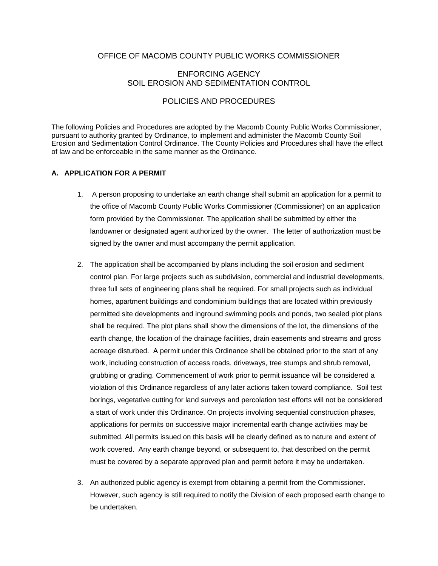# OFFICE OF MACOMB COUNTY PUBLIC WORKS COMMISSIONER

# ENFORCING AGENCY SOIL EROSION AND SEDIMENTATION CONTROL

## POLICIES AND PROCEDURES

The following Policies and Procedures are adopted by the Macomb County Public Works Commissioner, pursuant to authority granted by Ordinance, to implement and administer the Macomb County Soil Erosion and Sedimentation Control Ordinance. The County Policies and Procedures shall have the effect of law and be enforceable in the same manner as the Ordinance.

## **A. APPLICATION FOR A PERMIT**

- 1. A person proposing to undertake an earth change shall submit an application for a permit to the office of Macomb County Public Works Commissioner (Commissioner) on an application form provided by the Commissioner. The application shall be submitted by either the landowner or designated agent authorized by the owner. The letter of authorization must be signed by the owner and must accompany the permit application.
- 2. The application shall be accompanied by plans including the soil erosion and sediment control plan. For large projects such as subdivision, commercial and industrial developments, three full sets of engineering plans shall be required. For small projects such as individual homes, apartment buildings and condominium buildings that are located within previously permitted site developments and inground swimming pools and ponds, two sealed plot plans shall be required. The plot plans shall show the dimensions of the lot, the dimensions of the earth change, the location of the drainage facilities, drain easements and streams and gross acreage disturbed. A permit under this Ordinance shall be obtained prior to the start of any work, including construction of access roads, driveways, tree stumps and shrub removal, grubbing or grading. Commencement of work prior to permit issuance will be considered a violation of this Ordinance regardless of any later actions taken toward compliance. Soil test borings, vegetative cutting for land surveys and percolation test efforts will not be considered a start of work under this Ordinance. On projects involving sequential construction phases, applications for permits on successive major incremental earth change activities may be submitted. All permits issued on this basis will be clearly defined as to nature and extent of work covered. Any earth change beyond, or subsequent to, that described on the permit must be covered by a separate approved plan and permit before it may be undertaken.
- 3. An authorized public agency is exempt from obtaining a permit from the Commissioner. However, such agency is still required to notify the Division of each proposed earth change to be undertaken.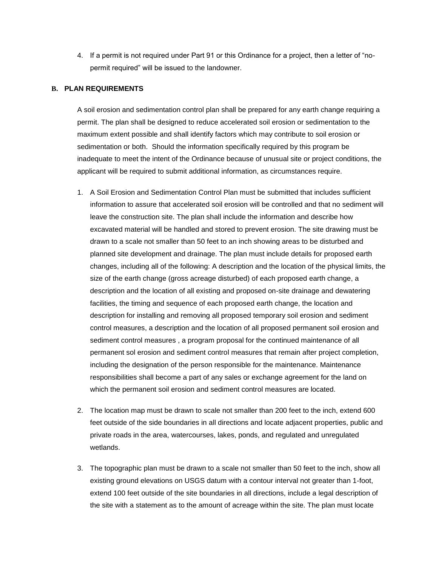4. If a permit is not required under Part 91 or this Ordinance for a project, then a letter of "nopermit required" will be issued to the landowner.

### **B. PLAN REQUIREMENTS**

A soil erosion and sedimentation control plan shall be prepared for any earth change requiring a permit. The plan shall be designed to reduce accelerated soil erosion or sedimentation to the maximum extent possible and shall identify factors which may contribute to soil erosion or sedimentation or both. Should the information specifically required by this program be inadequate to meet the intent of the Ordinance because of unusual site or project conditions, the applicant will be required to submit additional information, as circumstances require.

- 1. A Soil Erosion and Sedimentation Control Plan must be submitted that includes sufficient information to assure that accelerated soil erosion will be controlled and that no sediment will leave the construction site. The plan shall include the information and describe how excavated material will be handled and stored to prevent erosion. The site drawing must be drawn to a scale not smaller than 50 feet to an inch showing areas to be disturbed and planned site development and drainage. The plan must include details for proposed earth changes, including all of the following: A description and the location of the physical limits, the size of the earth change (gross acreage disturbed) of each proposed earth change, a description and the location of all existing and proposed on-site drainage and dewatering facilities, the timing and sequence of each proposed earth change, the location and description for installing and removing all proposed temporary soil erosion and sediment control measures, a description and the location of all proposed permanent soil erosion and sediment control measures , a program proposal for the continued maintenance of all permanent sol erosion and sediment control measures that remain after project completion, including the designation of the person responsible for the maintenance. Maintenance responsibilities shall become a part of any sales or exchange agreement for the land on which the permanent soil erosion and sediment control measures are located.
- 2. The location map must be drawn to scale not smaller than 200 feet to the inch, extend 600 feet outside of the side boundaries in all directions and locate adjacent properties, public and private roads in the area, watercourses, lakes, ponds, and regulated and unregulated wetlands.
- 3. The topographic plan must be drawn to a scale not smaller than 50 feet to the inch, show all existing ground elevations on USGS datum with a contour interval not greater than 1-foot, extend 100 feet outside of the site boundaries in all directions, include a legal description of the site with a statement as to the amount of acreage within the site. The plan must locate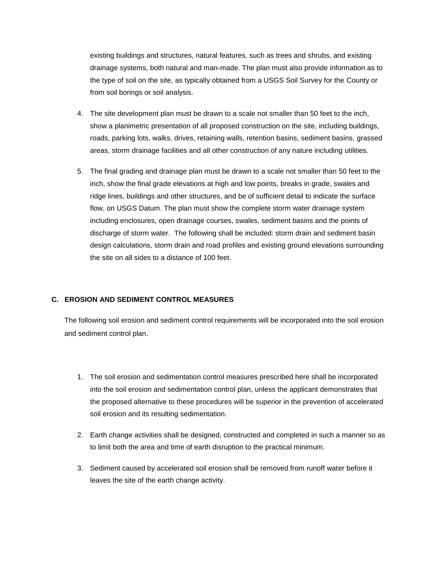existing buildings and structures, natural features, such as trees and shrubs, and existing drainage systems, both natural and man-made. The plan must also provide information as to the type of soil on the site, as typically obtained from a USGS Soil Survey for the County or from soil borings or soil analysis.

- 4. The site development plan must be drawn to a scale not smaller than 50 feet to the inch, show a planimetric presentation of all proposed construction on the site, including buildings, roads, parking lots, walks, drives, retaining walls, retention basins, sediment basins, grassed areas, storm drainage facilities and all other construction of any nature including utilities.
- 5. The final grading and drainage plan must be drawn to a scale not smaller than 50 feet to the inch, show the final grade elevations at high and low points, breaks in grade, swales and ridge lines, buildings and other structures, and be of sufficient detail to indicate the surface flow, on USGS Datum. The plan must show the complete storm water drainage system including enclosures, open drainage courses, swales, sediment basins and the points of discharge of storm water. The following shall be included: storm drain and sediment basin design calculations, storm drain and road profiles and existing ground elevations surrounding the site on all sides to a distance of 100 feet.

## **C. EROSION AND SEDIMENT CONTROL MEASURES**

The following soil erosion and sediment control requirements will be incorporated into the soil erosion and sediment control plan.

- 1. The soil erosion and sedimentation control measures prescribed here shall be incorporated into the soil erosion and sedimentation control plan, unless the applicant demonstrates that the proposed alternative to these procedures will be superior in the prevention of accelerated soil erosion and its resulting sedimentation.
- 2. Earth change activities shall be designed, constructed and completed in such a manner so as to limit both the area and time of earth disruption to the practical minimum.
- 3. Sediment caused by accelerated soil erosion shall be removed from runoff water before it leaves the site of the earth change activity.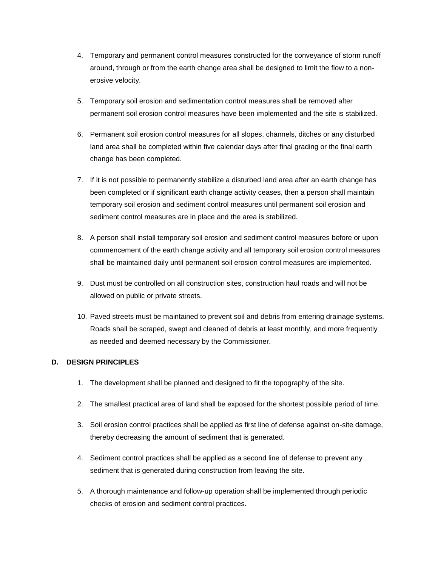- 4. Temporary and permanent control measures constructed for the conveyance of storm runoff around, through or from the earth change area shall be designed to limit the flow to a nonerosive velocity.
- 5. Temporary soil erosion and sedimentation control measures shall be removed after permanent soil erosion control measures have been implemented and the site is stabilized.
- 6. Permanent soil erosion control measures for all slopes, channels, ditches or any disturbed land area shall be completed within five calendar days after final grading or the final earth change has been completed.
- 7. If it is not possible to permanently stabilize a disturbed land area after an earth change has been completed or if significant earth change activity ceases, then a person shall maintain temporary soil erosion and sediment control measures until permanent soil erosion and sediment control measures are in place and the area is stabilized.
- 8. A person shall install temporary soil erosion and sediment control measures before or upon commencement of the earth change activity and all temporary soil erosion control measures shall be maintained daily until permanent soil erosion control measures are implemented.
- 9. Dust must be controlled on all construction sites, construction haul roads and will not be allowed on public or private streets.
- 10. Paved streets must be maintained to prevent soil and debris from entering drainage systems. Roads shall be scraped, swept and cleaned of debris at least monthly, and more frequently as needed and deemed necessary by the Commissioner.

## **D. DESIGN PRINCIPLES**

- 1. The development shall be planned and designed to fit the topography of the site.
- 2. The smallest practical area of land shall be exposed for the shortest possible period of time.
- 3. Soil erosion control practices shall be applied as first line of defense against on-site damage, thereby decreasing the amount of sediment that is generated.
- 4. Sediment control practices shall be applied as a second line of defense to prevent any sediment that is generated during construction from leaving the site.
- 5. A thorough maintenance and follow-up operation shall be implemented through periodic checks of erosion and sediment control practices.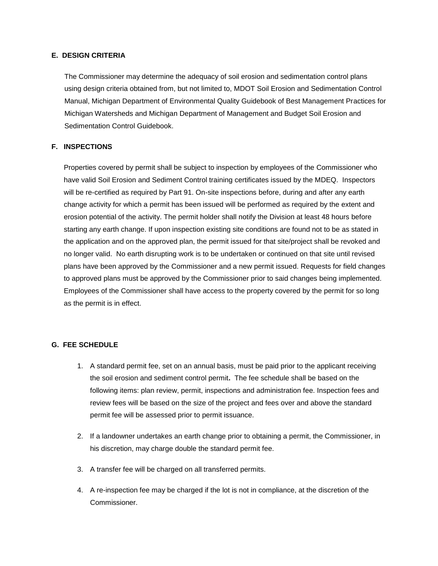## **E. DESIGN CRITERIA**

The Commissioner may determine the adequacy of soil erosion and sedimentation control plans using design criteria obtained from, but not limited to, MDOT Soil Erosion and Sedimentation Control Manual, Michigan Department of Environmental Quality Guidebook of Best Management Practices for Michigan Watersheds and Michigan Department of Management and Budget Soil Erosion and Sedimentation Control Guidebook.

### **F. INSPECTIONS**

Properties covered by permit shall be subject to inspection by employees of the Commissioner who have valid Soil Erosion and Sediment Control training certificates issued by the MDEQ. Inspectors will be re-certified as required by Part 91. On-site inspections before, during and after any earth change activity for which a permit has been issued will be performed as required by the extent and erosion potential of the activity. The permit holder shall notify the Division at least 48 hours before starting any earth change. If upon inspection existing site conditions are found not to be as stated in the application and on the approved plan, the permit issued for that site/project shall be revoked and no longer valid. No earth disrupting work is to be undertaken or continued on that site until revised plans have been approved by the Commissioner and a new permit issued. Requests for field changes to approved plans must be approved by the Commissioner prior to said changes being implemented. Employees of the Commissioner shall have access to the property covered by the permit for so long as the permit is in effect.

#### **G. FEE SCHEDULE**

- 1. A standard permit fee, set on an annual basis, must be paid prior to the applicant receiving the soil erosion and sediment control permit**.** The fee schedule shall be based on the following items: plan review, permit, inspections and administration fee. Inspection fees and review fees will be based on the size of the project and fees over and above the standard permit fee will be assessed prior to permit issuance.
- 2. If a landowner undertakes an earth change prior to obtaining a permit, the Commissioner, in his discretion, may charge double the standard permit fee.
- 3. A transfer fee will be charged on all transferred permits.
- 4. A re-inspection fee may be charged if the lot is not in compliance, at the discretion of the Commissioner.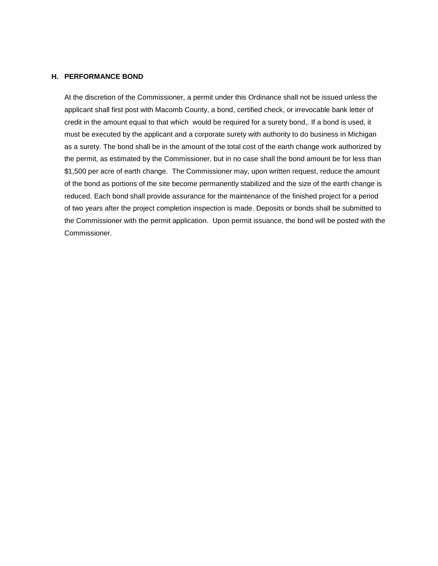### **H. PERFORMANCE BOND**

At the discretion of the Commissioner, a permit under this Ordinance shall not be issued unless the applicant shall first post with Macomb County, a bond, certified check, or irrevocable bank letter of credit in the amount equal to that which would be required for a surety bond,. If a bond is used, it must be executed by the applicant and a corporate surety with authority to do business in Michigan as a surety. The bond shall be in the amount of the total cost of the earth change work authorized by the permit, as estimated by the Commissioner, but in no case shall the bond amount be for less than \$1,500 per acre of earth change. The Commissioner may, upon written request, reduce the amount of the bond as portions of the site become permanently stabilized and the size of the earth change is reduced. Each bond shall provide assurance for the maintenance of the finished project for a period of two years after the project completion inspection is made. Deposits or bonds shall be submitted to the Commissioner with the permit application. Upon permit issuance, the bond will be posted with the Commissioner.